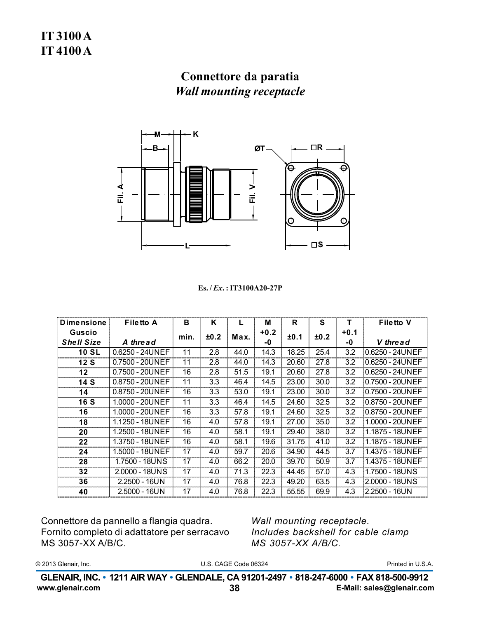

Es./*Ex.*: IT3100A20-27P

| <b>Dimensione</b> | <b>Filetto A</b> | в    | K    |      | м    | R     | S    | т      | <b>Filetto V</b> |
|-------------------|------------------|------|------|------|------|-------|------|--------|------------------|
| Guscio            |                  | min. | ±0.2 | Max. | +0.2 | ±0.1  | ±0.2 | $+0.1$ |                  |
| <b>Shell Size</b> | A thread         |      |      |      | -0   |       |      | -0     | V thread         |
| <b>10 SL</b>      | 0.6250 - 24UNEF  | 11   | 2.8  | 44.0 | 14.3 | 18.25 | 25.4 | 3.2    | 0.6250 - 24UNEF  |
| 12 S              | 0.7500 - 20UNEF  | 11   | 2.8  | 44.0 | 14.3 | 20.60 | 27.8 | 3.2    | 0.6250 - 24UNEF  |
| $12 \,$           | 0.7500 - 20UNEF  | 16   | 2.8  | 51.5 | 19.1 | 20.60 | 27.8 | 3.2    | 0.6250 - 24UNEF  |
| 14 S              | 0.8750 - 20UNEF  | 11   | 3.3  | 46.4 | 14.5 | 23.00 | 30.0 | 3.2    | 0.7500 - 20UNEF  |
| 14                | 0.8750 - 20UNEF  | 16   | 3.3  | 53.0 | 19.1 | 23.00 | 30.0 | 3.2    | 0.7500 - 20UNEF  |
| <b>16 S</b>       | 1.0000 - 20UNEF  | 11   | 3.3  | 46.4 | 14.5 | 24.60 | 32.5 | 3.2    | 0.8750 - 20UNEF  |
| 16                | 1.0000 - 20UNEF  | 16   | 3.3  | 57.8 | 19.1 | 24.60 | 32.5 | 3.2    | 0.8750 - 20UNEF  |
| 18                | 1.1250 - 18UNEF  | 16   | 4.0  | 57.8 | 19.1 | 27.00 | 35.0 | 3.2    | 1.0000 - 20UNEF  |
| 20                | 1.2500 - 18UNEF  | 16   | 4.0  | 58.1 | 19.1 | 29.40 | 38.0 | 3.2    | 1.1875 - 18UNEF  |
| 22                | 1.3750 - 18UNEF  | 16   | 4.0  | 58.1 | 19.6 | 31.75 | 41.0 | 3.2    | 1.1875 - 18UNEF  |
| 24                | 1.5000 - 18UNEF  | 17   | 4.0  | 59.7 | 20.6 | 34.90 | 44.5 | 3.7    | 1.4375 - 18UNEF  |
| 28                | 1.7500 - 18UNS   | 17   | 4.0  | 66.2 | 20.0 | 39.70 | 50.9 | 3.7    | 1.4375 - 18UNEF  |
| 32                | 2.0000 - 18UNS   | 17   | 4.0  | 71.3 | 22.3 | 44.45 | 57.0 | 4.3    | 1.7500 - 18UNS   |
| 36                | $2.2500 - 16UN$  | 17   | 4.0  | 76.8 | 22.3 | 49.20 | 63.5 | 4.3    | 2.0000 - 18UNS   |
| 40                | $2.5000 - 16UN$  | 17   | 4.0  | 76.8 | 22.3 | 55.55 | 69.9 | 4.3    | 2.2500 - 16UN    |

Connettore da pannello a flangia quadra. Fornito completo di adattatore per serracavo MS 3057-XX A/B/C.

Wall mounting receptacle. Includes backshell for cable clamp MS 3057-XX A/B/C.

© 2013 Glenair, Inc.

U.S. CAGE Code 06324

Printed in U.S.A.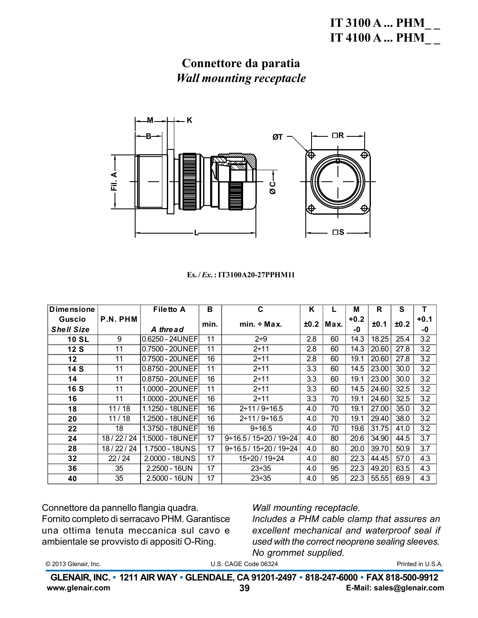

#### Es./*Ex.*: IT3100A20-27PPHM11

| <b>Dimensione</b>           |          | <b>Filetto A</b> | в    | C                                       | K    |      | M            | R     | S    | т            |
|-----------------------------|----------|------------------|------|-----------------------------------------|------|------|--------------|-------|------|--------------|
| Guscio<br><b>Shell Size</b> | P.N. PHM | A thread         | min. | $min. \div Max.$                        | ±0.2 | Max. | $+0.2$<br>-0 | ±0.1  | ±0.2 | $+0.1$<br>-0 |
| <b>10 SL</b>                | 9        | 0.6250 - 24UNEFI | 11   | $2 + 9$                                 | 2.8  | 60   | 14.3         | 18.25 | 25.4 | 3.2          |
| 12S                         | 11       | 0.7500 - 20UNEF  | 11   | $2 + 11$                                | 2.8  | 60   | 14.3         | 20.60 | 27.8 | 3.2          |
| $12 \,$                     | 11       | 0.7500 - 20UNEF  | 16   | $2 + 11$                                | 2.8  | 60   | 19.1         | 20.60 | 27.8 | 3.2          |
| 14 S                        | 11       | 0.8750 - 20UNEF  | 11   | $2 + 11$                                | 3.3  | 60   | 14.5         | 23.00 | 30.0 | 3.2          |
| 14                          | 11       | 0.8750 - 20UNEF  | 16   | $2 + 11$                                | 3.3  | 60   | 19.1         | 23.00 | 30.0 | 3.2          |
| <b>16 S</b>                 | 11       | 1.0000 - 20UNEF  | 11   | $2 + 11$                                | 3.3  | 60   | 14.5         | 24.60 | 32.5 | 3.2          |
| 16                          | 11       | 1.0000 - 20UNEF  | 16   | $2 + 11$                                | 3.3  | 70   | 19.1         | 24.60 | 32.5 | 3.2          |
| 18                          | 11/18    | 1.1250 - 18UNEF  | 16   | $2 \div 11/9 \div 16.5$                 | 4.0  | 70   | 19.1         | 27.00 | 35.0 | 3.2          |
| 20                          | 11/18    | 1.2500 - 18UNEF  | 16   | $2+11/9+16.5$                           | 4.0  | 70   | 19.1         | 29.40 | 38.0 | 3.2          |
| 22                          | 18       | 1.3750 - 18UNEF  | 16   | $9 \div 16.5$                           | 4.0  | 70   | 19.6         | 31.75 | 41.0 | 3.2          |
| 24                          | 18/22/24 | 1.5000 - 18UNEFI | 17   | $9 \div 16.5 / 15 \div 20 / 19 \div 24$ | 4.0  | 80   | 20.6         | 34.90 | 44.5 | 3.7          |
| 28                          | 18/22/24 | 1.7500 - 18UNS   | 17   | $9 \div 16.5 / 15 \div 20 / 19 \div 24$ | 4.0  | 80   | 20.0         | 39.70 | 50.9 | 3.7          |
| 32                          | 22/24    | 2.0000 - 18UNS   | 17   | 15÷20 / 19÷24                           | 4.0  | 80   | 22.3         | 44.45 | 57.0 | 4.3          |
| 36                          | 35       | $2.2500 - 16UN$  | 17   | $23 \div 35$                            | 4.0  | 95   | 22.3         | 49.20 | 63.5 | 4.3          |
| 40                          | 35       | $2.5000 - 16UN$  | 17   | $23 \div 35$                            | 4.0  | 95   | 22.3         | 55.55 | 69.9 | 4.3          |

Connettore da pannello flangia quadra. Fornito completo di serracavo PHM. Garantisce una ottima tenuta meccanica sul cavo e ambientale se provvisto di appositi O-Ring.

### Wall mounting receptacle.

Includes a PHM cable clamp that assures an excellent mechanical and waterproof seal if used with the correct neoprene sealing sleeves. No grommet supplied.

|  | © 2013 Glenair, Inc. |  |
|--|----------------------|--|
|--|----------------------|--|

U.S. CAGE Code 06324

Printed in U.S.A.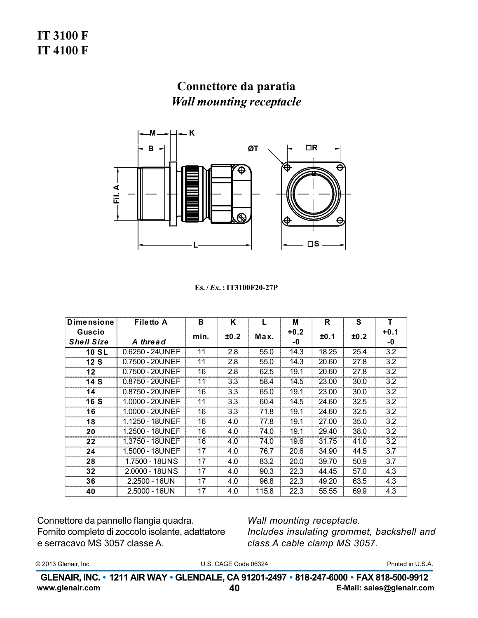

Es. / Ex. : IT3100F20-27P

| <b>Dimensione</b> | <b>Filetto A</b>         | в    | ĸ    | L     | м      | R     | S    | т      |
|-------------------|--------------------------|------|------|-------|--------|-------|------|--------|
| Guscio            |                          | min. | ±0.2 | Max.  | $+0.2$ | ±0.1  | ±0.2 | $+0.1$ |
| <b>Shell Size</b> | A thread                 |      |      |       | -0     |       |      | -0     |
| <b>10 SL</b>      | 0.6250 - 24UNEF          | 11   | 2.8  | 55.0  | 14.3   | 18.25 | 25.4 | 3.2    |
| 12S               | 0.7500 - 20UNEF          | 11   | 2.8  | 55.0  | 14.3   | 20.60 | 27.8 | 3.2    |
| 12                | 0.7500 - 20UNEF          | 16   | 2.8  | 62.5  | 19.1   | 20.60 | 27.8 | 3.2    |
| 14S               | 0.8750 - 20UNEF          | 11   | 3.3  | 58.4  | 14.5   | 23.00 | 30.0 | 3.2    |
| 14                | 0.8750 - 20UNEF          | 16   | 3.3  | 65.0  | 19.1   | 23.00 | 30.0 | 3.2    |
| 16 S              | 1.0000 - 20UNEF          | 11   | 3.3  | 60.4  | 14.5   | 24.60 | 32.5 | 3.2    |
| 16                | 1.0000 - 20UNEF          | 16   | 3.3  | 71.8  | 19.1   | 24.60 | 32.5 | 3.2    |
| 18                | 1.1250 - 18UNEF          | 16   | 4.0  | 77.8  | 19.1   | 27.00 | 35.0 | 3.2    |
| 20                | 1.2500 - 18UNEF          | 16   | 4.0  | 74.0  | 19.1   | 29.40 | 38.0 | 3.2    |
| 22                | 1.3750 - 18UNEF          | 16   | 4.0  | 74.0  | 19.6   | 31.75 | 41.0 | 3.2    |
| 24                | 1.5000 - 18UNEF          | 17   | 4.0  | 76.7  | 20.6   | 34.90 | 44.5 | 3.7    |
| 28                | 1.7500 - 18UNS           | 17   | 4.0  | 83.2  | 20.0   | 39.70 | 50.9 | 3.7    |
| 32                | $2.0000 - 18 \text{UNS}$ | 17   | 4.0  | 90.3  | 22.3   | 44.45 | 57.0 | 4.3    |
| 36                | $2.2500 - 16UN$          | 17   | 4.0  | 96.8  | 22.3   | 49.20 | 63.5 | 4.3    |
| 40                | $2.5000 - 16UN$          | 17   | 4.0  | 115.8 | 22.3   | 55.55 | 69.9 | 4.3    |

Connettore da pannello flangia quadra. Fornito completo di zoccolo isolante, adattatore e serracavo MS 3057 classe A.

Wall mounting receptacle. Includes insulating grommet, backshell and class A cable clamp MS 3057.

© 2013 Glenair, Inc.

U.S. CAGE Code 06324

Printed in U.S.A.

GLENAIR, INC. • 1211 AIR WAY • GLENDALE, CA 91201-2497 • 818-247-6000 • FAX 818-500-9912 www.glenair.com 40 E-Mail: sales@glenair.com